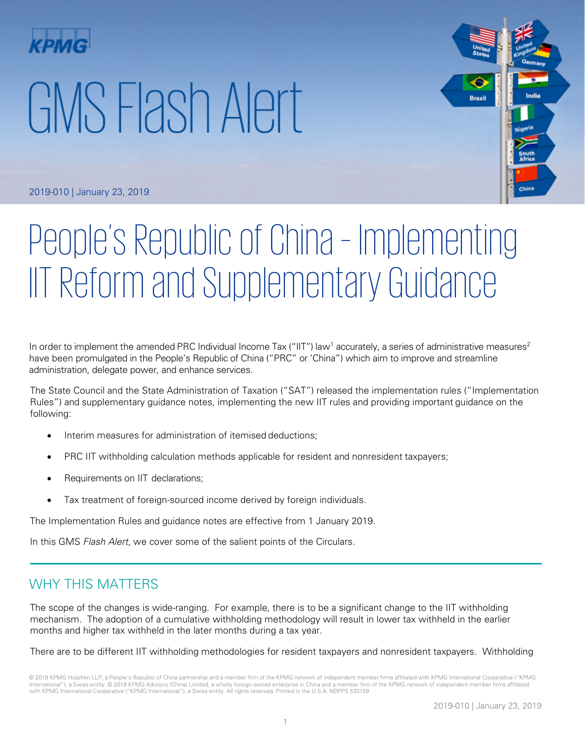# GMS Flash Alert



2019-010 | January 23, 2019

# People's Republic of China – Implementing IIT Reform and Supplementary Guidance

In order to implement the amended PRC Individual Income Tax ("IIT") law<sup>1</sup> accurately, a series of administrative measures<sup>2</sup> have been promulgated in the People's Republic of China ("PRC" or 'China") which aim to improve and streamline administration, delegate power, and enhance services.

The State Council and the State Administration of Taxation ("SAT") released the implementation rules ("Implementation Rules") and supplementary guidance notes, implementing the new IIT rules and providing important guidance on the following:

- Interim measures for administration of itemised deductions;
- PRC IIT withholding calculation methods applicable for resident and nonresident taxpayers;
- Requirements on IIT declarations;
- Tax treatment of foreign-sourced income derived by foreign individuals.

The Implementation Rules and guidance notes are effective from 1 January 2019.

In this GMS Flash Alert, we cover some of the salient points of the Circulars.

# WHY THIS MATTERS

The scope of the changes is wide-ranging. For example, there is to be a significant change to the IIT withholding mechanism. The adoption of a cumulative withholding methodology will result in lower tax withheld in the earlier months and higher tax withheld in the later months during a tax year.

There are to be different IIT withholding methodologies for resident taxpayers and nonresident taxpayers. Withholding

<sup>© 2019</sup> KPMG Huazhen LLP, a People's Republic of China partnership and a member firm of the KPMG network of independent member firms affiliated with KPMG International Cooperative ("KPMG International"), a Swiss entity. © 2019 KPMG Advisory (China) Limited, a wholly foreign owned enterprise in China and a member firm of the KPMG network of independent member firms affiliated with KPMG International Cooperative ("KPMG International"), a Swiss entity. All rights reserved. Printed in the U.S.A. NDPPS 530159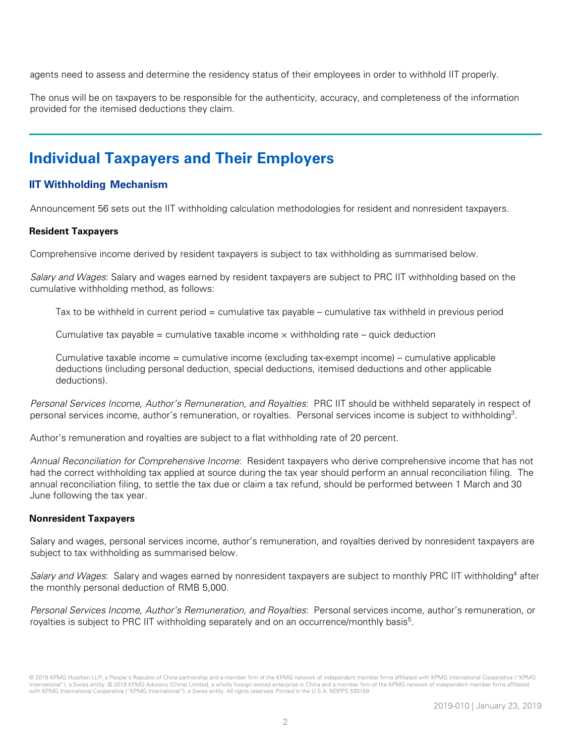agents need to assess and determine the residency status of their employees in order to withhold IIT properly.

The onus will be on taxpayers to be responsible for the authenticity, accuracy, and completeness of the information provided for the itemised deductions they claim.

# **Individual Taxpayers and Their Employers**

#### **IIT Withholding Mechanism**

Announcement 56 sets out the IIT withholding calculation methodologies for resident and nonresident taxpayers.

#### **Resident Taxpayers**

Comprehensive income derived by resident taxpayers is subject to tax withholding as summarised below.

Salary and Wages: Salary and wages earned by resident taxpayers are subject to PRC IIT withholding based on the cumulative withholding method, as follows:

Tax to be withheld in current period = cumulative tax payable – cumulative tax withheld in previous period

Cumulative tax payable = cumulative taxable income  $\times$  withholding rate – quick deduction

Cumulative taxable income = cumulative income (excluding tax-exempt income) – cumulative applicable deductions (including personal deduction, special deductions, itemised deductions and other applicable deductions).

Personal Services Income, Author's Remuneration, and Royalties: PRC IIT should be withheld separately in respect of personal services income, author's remuneration, or royalties. Personal services income is subject to withholding3.

Author's remuneration and royalties are subject to a flat withholding rate of 20 percent.

Annual Reconciliation for Comprehensive Income: Resident taxpayers who derive comprehensive income that has not had the correct withholding tax applied at source during the tax year should perform an annual reconciliation filing. The annual reconciliation filing, to settle the tax due or claim a tax refund, should be performed between 1 March and 30 June following the tax year.

#### **Nonresident Taxpayers**

Salary and wages, personal services income, author's remuneration, and royalties derived by nonresident taxpayers are subject to tax withholding as summarised below.

Salary and Wages: Salary and wages earned by nonresident taxpayers are subject to monthly PRC IIT withholding<sup>4</sup> after the monthly personal deduction of RMB 5,000.

Personal Services Income, Author's Remuneration, and Royalties: Personal services income, author's remuneration, or royalties is subject to PRC IIT withholding separately and on an occurrence/monthly basis<sup>5</sup>.

<sup>© 2019</sup> KPMG Huazhen LLP, a People's Republic of China partnership and a member firm of the KPMG network of independent member firms affiliated with KPMG International Cooperative ("KPMG International"), a Swiss entity. © 2019 KPMG Advisory (China) Limited, a wholly foreign owned enterprise in China and a member firm of the KPMG network of independent member firms affiliated with KPMG International Cooperative ("KPMG International"), a Swiss entity. All rights reserved. Printed in the U.S.A. NDPPS 530159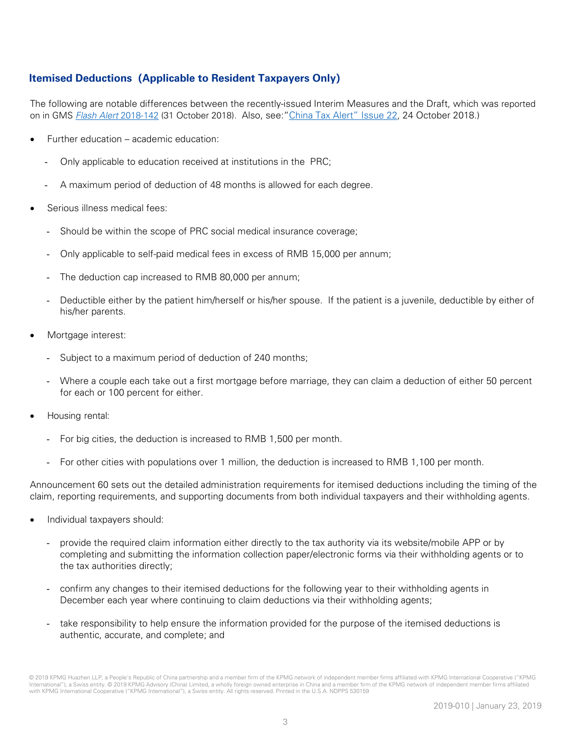#### **Itemised Deductions(Applicable to Resident Taxpayers Only)**

The following are notable differences between the recently-issued Interim Measures and the Draft, which was reported on in GMS **[Flash Alert](https://home.kpmg/xx/en/home/insights/2018/10/flash-alert-2018-142.html) 2018-142** (31 October 2018). Also, see: ["China Tax Alert" Issue 22,](https://home.kpmg.com/cn/en/home/insights/2018/10/china-tax-alert-22.html) 24 October 2018.)

- Further education academic education:
	- Only applicable to education received at institutions in the PRC;
	- A maximum period of deduction of 48 months is allowed for each degree.
- Serious illness medical fees:
	- Should be within the scope of PRC social medical insurance coverage;
	- Only applicable to self-paid medical fees in excess of RMB 15,000 per annum;
	- The deduction cap increased to RMB 80,000 per annum;
	- Deductible either by the patient him/herself or his/her spouse. If the patient is a juvenile, deductible by either of his/her parents.
- Mortgage interest:
	- Subject to a maximum period of deduction of 240 months;
	- Where a couple each take out a first mortgage before marriage, they can claim a deduction of either 50 percent for each or 100 percent for either.
- Housing rental:
	- For big cities, the deduction is increased to RMB 1,500 per month.
	- For other cities with populations over 1 million, the deduction is increased to RMB 1,100 per month.

Announcement 60 sets out the detailed administration requirements for itemised deductions including the timing of the claim, reporting requirements, and supporting documents from both individual taxpayers and their withholding agents.

- Individual taxpayers should:
	- provide the required claim information either directly to the tax authority via its website/mobile APP or by completing and submitting the information collection paper/electronic forms via their withholding agents or to the tax authorities directly;
	- confirm any changes to their itemised deductions for the following year to their withholding agents in December each year where continuing to claim deductions via their withholding agents;
	- take responsibility to help ensure the information provided for the purpose of the itemised deductions is authentic, accurate, and complete; and

<sup>© 2019</sup> KPMG Huazhen LLP, a People's Republic of China partnership and a member firm of the KPMG network of independent member firms affiliated with KPMG International Cooperative ("KPMG International"), a Swiss entity. © 2019 KPMG Advisory (China) Limited, a wholly foreign owned enterprise in China and a member firm of the KPMG network of independent member firms affiliated with KPMG International Cooperative ("KPMG International"), a Swiss entity. All rights reserved. Printed in the U.S.A. NDPPS 530159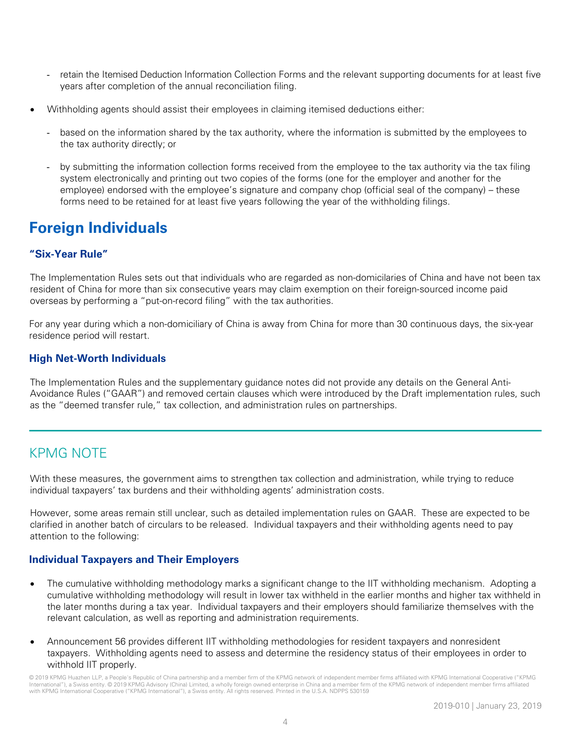- retain the Itemised Deduction Information Collection Forms and the relevant supporting documents for at least five years after completion of the annual reconciliation filing.
- Withholding agents should assist their employees in claiming itemised deductions either:
	- based on the information shared by the tax authority, where the information is submitted by the employees to the tax authority directly; or
	- by submitting the information collection forms received from the employee to the tax authority via the tax filing system electronically and printing out two copies of the forms (one for the employer and another for the employee) endorsed with the employee's signature and company chop (official seal of the company) – these forms need to be retained for at least five years following the year of the withholding filings.

# **Foreign Individuals**

#### **"Six-Year Rule"**

The Implementation Rules sets out that individuals who are regarded as non-domicilaries of China and have not been tax resident of China for more than six consecutive years may claim exemption on their foreign-sourced income paid overseas by performing a "put-on-record filing" with the tax authorities.

For any year during which a non-domiciliary of China is away from China for more than 30 continuous days, the six-year residence period will restart.

#### **High Net-Worth Individuals**

The Implementation Rules and the supplementary guidance notes did not provide any details on the General Anti-Avoidance Rules ("GAAR") and removed certain clauses which were introduced by the Draft implementation rules, such as the "deemed transfer rule," tax collection, and administration rules on partnerships.

# KPMG NOTE

With these measures, the government aims to strengthen tax collection and administration, while trying to reduce individual taxpayers' tax burdens and their withholding agents' administration costs.

However, some areas remain still unclear, such as detailed implementation rules on GAAR. These are expected to be clarified in another batch of circulars to be released. Individual taxpayers and their withholding agents need to pay attention to the following:

#### **Individual Taxpayers and Their Employers**

- The cumulative withholding methodology marks a significant change to the IIT withholding mechanism. Adopting a cumulative withholding methodology will result in lower tax withheld in the earlier months and higher tax withheld in the later months during a tax year. Individual taxpayers and their employers should familiarize themselves with the relevant calculation, as well as reporting and administration requirements.
- Announcement 56 provides different IIT withholding methodologies for resident taxpayers and nonresident taxpayers. Withholding agents need to assess and determine the residency status of their employees in order to withhold IIT properly.

© 2019 KPMG Huazhen LLP, a People's Republic of China partnership and a member firm of the KPMG network of independent member firms affiliated with KPMG International Cooperative ("KPMG International"), a Swiss entity. © 2019 KPMG Advisory (China) Limited, a wholly foreign owned enterprise in China and a member firm of the KPMG network of independent member firms affiliated with KPMG International Cooperative ("KPMG International"), a Swiss entity. All rights reserved. Printed in the U.S.A. NDPPS 530159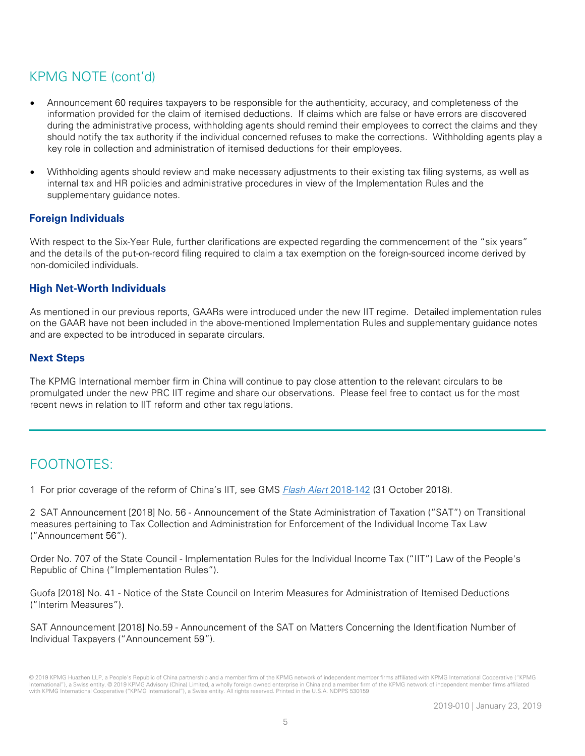# KPMG NOTE (cont'd)

- Announcement 60 requires taxpayers to be responsible for the authenticity, accuracy, and completeness of the information provided for the claim of itemised deductions. If claims which are false or have errors are discovered during the administrative process, withholding agents should remind their employees to correct the claims and they should notify the tax authority if the individual concerned refuses to make the corrections. Withholding agents play a key role in collection and administration of itemised deductions for their employees.
- Withholding agents should review and make necessary adjustments to their existing tax filing systems, as well as internal tax and HR policies and administrative procedures in view of the Implementation Rules and the supplementary guidance notes.

#### **Foreign Individuals**

With respect to the Six-Year Rule, further clarifications are expected regarding the commencement of the "six years" and the details of the put-on-record filing required to claim a tax exemption on the foreign-sourced income derived by non-domiciled individuals.

#### **High Net-Worth Individuals**

As mentioned in our previous reports, GAARs were introduced under the new IIT regime. Detailed implementation rules on the GAAR have not been included in the above-mentioned Implementation Rules and supplementary guidance notes and are expected to be introduced in separate circulars.

#### **Next Steps**

The KPMG International member firm in China will continue to pay close attention to the relevant circulars to be promulgated under the new PRC IIT regime and share our observations. Please feel free to contact us for the most recent news in relation to IIT reform and other tax regulations.

# FOOTNOTES:

1 For prior coverage of the reform of China's IIT, see GMS [Flash Alert](https://home.kpmg/xx/en/home/insights/2018/10/flash-alert-2018-142.html) 2018-142 (31 October 2018).

2 SAT Announcement [2018] No. 56 - Announcement of the State Administration of Taxation ("SAT") on Transitional measures pertaining to Tax Collection and Administration for Enforcement of the Individual Income Tax Law ("Announcement 56").

Order No. 707 of the State Council - Implementation Rules for the Individual Income Tax ("IIT") Law of the People's Republic of China ("Implementation Rules").

Guofa [2018] No. 41 - Notice of the State Council on Interim Measures for Administration of Itemised Deductions ("Interim Measures").

SAT Announcement [2018] No.59 - Announcement of the SAT on Matters Concerning the Identification Number of Individual Taxpayers ("Announcement 59").

<sup>© 2019</sup> KPMG Huazhen LLP, a People's Republic of China partnership and a member firm of the KPMG network of independent member firms affiliated with KPMG International Cooperative ("KPMG International"), a Swiss entity. © 2019 KPMG Advisory (China) Limited, a wholly foreign owned enterprise in China and a member firm of the KPMG network of independent member firms affiliated with KPMG International Cooperative ("KPMG International"), a Swiss entity. All rights reserved. Printed in the U.S.A. NDPPS 530159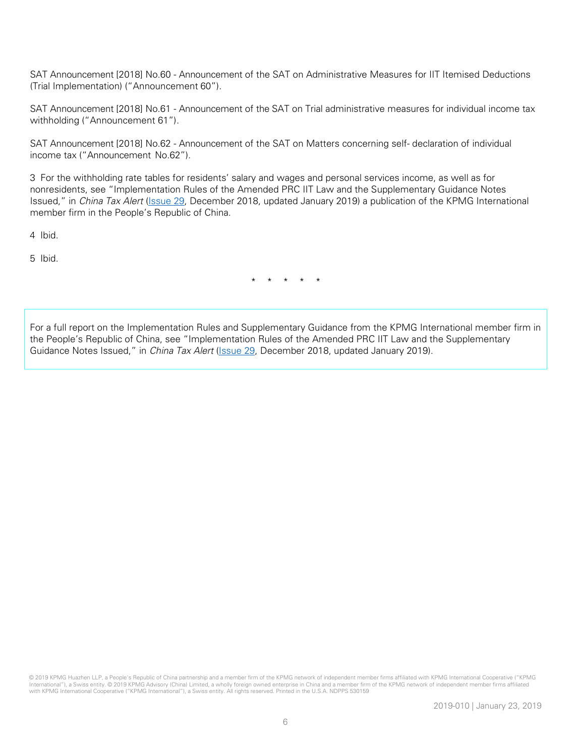SAT Announcement [2018] No.60 - Announcement of the SAT on Administrative Measures for IIT Itemised Deductions (Trial Implementation) ("Announcement 60").

SAT Announcement [2018] No.61 - Announcement of the SAT on Trial administrative measures for individual income tax withholding ("Announcement 61").

SAT Announcement [2018] No.62 - Announcement of the SAT on Matters concerning self- declaration of individual income tax ("Announcement No.62").

3 For the withholding rate tables for residents' salary and wages and personal services income, as well as for nonresidents, see "Implementation Rules of the Amended PRC IIT Law and the Supplementary Guidance Notes Issued," in China Tax Alert [\(Issue 29,](https://assets.kpmg/content/dam/kpmg/cn/pdf/en/2018/12/china-tax-alert-29.pdf) December 2018, updated January 2019) a publication of the KPMG International member firm in the People's Republic of China.

4 Ibid.

5 Ibid.

\* \* \* \* \*

For a full report on the Implementation Rules and Supplementary Guidance from the KPMG International member firm in the People's Republic of China, see "Implementation Rules of the Amended PRC IIT Law and the Supplementary Guidance Notes Issued," in *China Tax Alert* (*Issue 29*, December 2018, updated January 2019).

© 2019 KPMG Huazhen LLP, a People's Republic of China partnership and a member firm of the KPMG network of independent member firms affiliated with KPMG International Cooperative ("KPMG International"), a Swiss entity. © 2019 KPMG Advisory (China) Limited, a wholly foreign owned enterprise in China and a member firm of the KPMG network of independent member firms affiliated with KPMG International Cooperative ("KPMG International"), a Swiss entity. All rights reserved. Printed in the U.S.A. NDPPS 530159